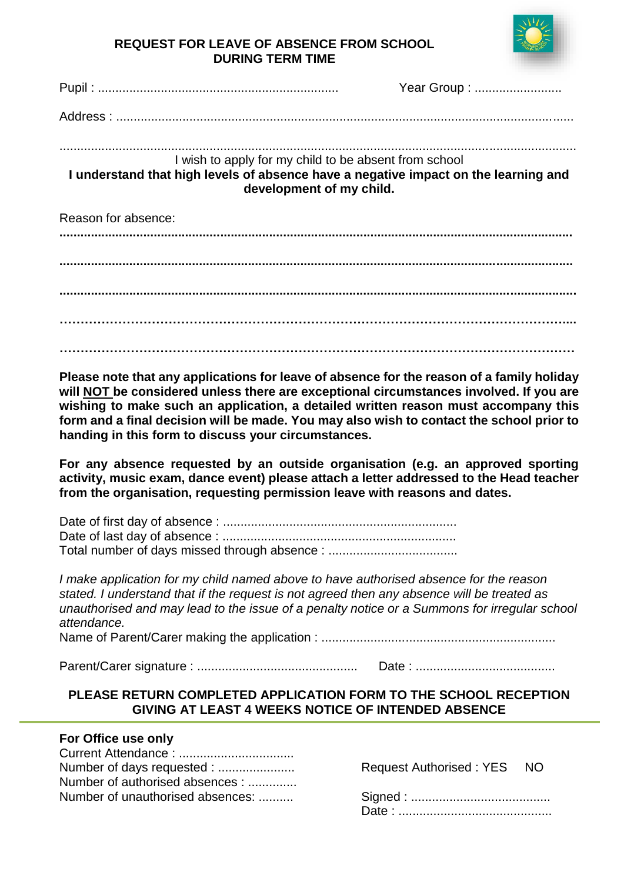

# **REQUEST FOR LEAVE OF ABSENCE FROM SCHOOL DURING TERM TIME**

|                                                                                                                                                                          | Year Group : |
|--------------------------------------------------------------------------------------------------------------------------------------------------------------------------|--------------|
|                                                                                                                                                                          |              |
|                                                                                                                                                                          |              |
| I wish to apply for my child to be absent from school<br>I understand that high levels of absence have a negative impact on the learning and<br>development of my child. |              |
| Reason for absence:                                                                                                                                                      |              |
|                                                                                                                                                                          |              |
|                                                                                                                                                                          |              |
|                                                                                                                                                                          |              |

**……………………………………………………………………………………………………………**

**Please note that any applications for leave of absence for the reason of a family holiday will NOT be considered unless there are exceptional circumstances involved. If you are wishing to make such an application, a detailed written reason must accompany this form and a final decision will be made. You may also wish to contact the school prior to handing in this form to discuss your circumstances.**

**For any absence requested by an outside organisation (e.g. an approved sporting activity, music exam, dance event) please attach a letter addressed to the Head teacher from the organisation, requesting permission leave with reasons and dates.**

Date of first day of absence : ................................................................... Date of last day of absence : ................................................................... Total number of days missed through absence : .....................................

*I make application for my child named above to have authorised absence for the reason stated. I understand that if the request is not agreed then any absence will be treated as unauthorised and may lead to the issue of a penalty notice or a Summons for irregular school attendance.*

Name of Parent/Carer making the application : ...................................................................

Parent/Carer signature : .............................................. Date : ........................................

# **PLEASE RETURN COMPLETED APPLICATION FORM TO THE SCHOOL RECEPTION GIVING AT LEAST 4 WEEKS NOTICE OF INTENDED ABSENCE**

### **For Office use only**

| Number of days requested :       |
|----------------------------------|
| Number of authorised absences :  |
| Number of unauthorised absences: |
|                                  |

Request Authorised : YES NO

Number of unauthorised absences: .......... Signed : ........................................ Date : ............................................